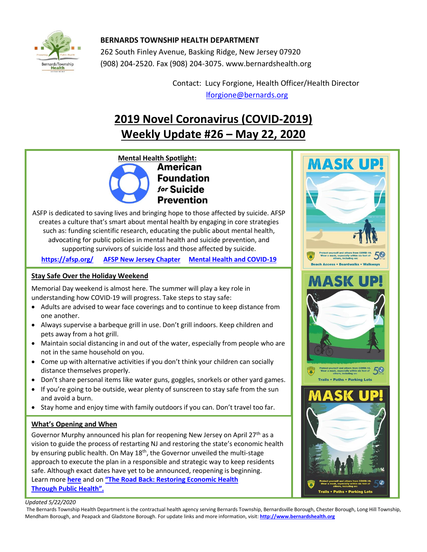

## **BERNARDS TOWNSHIP HEALTH DEPARTMENT**

262 South Finley Avenue, Basking Ridge, New Jersey 07920 (908) 204-2520. Fax (908) 204-3075[. www.bernardshealth.org](http://www.bernardshealth.org/)

> Contact: Lucy Forgione, Health Officer/Health Director [lforgione@bernards.org](mailto:lforgione@bernards.org)

# **2019 Novel Coronavirus (COVID-2019) Weekly Update #26 – May 22, 2020**

**Mental Health Spotlight: Foundation** for Suicide **Prevention** 

ASFP is dedicated to saving lives and bringing hope to those affected by suicide. AFSP creates a culture that's smart about mental health by engaging in core strategies such as: funding scientific research, educating the public about mental health, advocating for public policies in mental health and suicide prevention, and supporting survivors of suicide loss and those affected by suicide.

**<https://afsp.org/> [AFSP New Jersey Chapter](https://afsp.org/chapter/new-jersey) [Mental Health and COVID-19](https://afsp.org/mental-health-and-covid-19)**

## **Stay Safe Over the Holiday Weekend**

Memorial Day weekend is almost here. The summer will play a key role in understanding how COVID-19 will progress. Take steps to stay safe:

- Adults are advised to wear face coverings and to continue to keep distance from one another.
- Always supervise a barbeque grill in use. Don't grill indoors. Keep children and pets away from a hot grill.
- Maintain social distancing in and out of the water, especially from people who are not in the same household on you.
- Come up with alternative activities if you don't think your children can socially distance themselves properly.
- Don't share personal items like water guns, goggles, snorkels or other yard games.
- If you're going to be outside, wear plenty of sunscreen to stay safe from the sun and avoid a burn.
- Stay home and enjoy time with family outdoors if you can. Don't travel too far.

### **What's Opening and When**

Governor Murphy announced his plan for reopening New Jersey on April  $27<sup>th</sup>$  as a vision to guide the process of restarting NJ and restoring the state's economic health by ensuring public health. On May  $18<sup>th</sup>$ , the Governor unveiled the multi-stage approach to execute the plan in a responsible and strategic way to keep residents safe. Although exact dates have yet to be announced, reopening is beginning. Learn more **[here](https://covid19.nj.gov/faqs/nj-information/general-public/how-does-new-jersey-plan-to-lift-restrictions-what-does-a-responsible-and-strategic-restart-of-new-jerseys-economy-look-like#direct-link)** and on **["The Road Back: Restoring Econ](http://d31hzlhk6di2h5.cloudfront.net/20200427/db/2d/77/6c/2a8a498ff2edda855c3f456d/The_Road_Back_-_Restoring_Economic_Health_Through_Public_Health.pdf)omic Health [Through Public Health](http://d31hzlhk6di2h5.cloudfront.net/20200427/db/2d/77/6c/2a8a498ff2edda855c3f456d/The_Road_Back_-_Restoring_Economic_Health_Through_Public_Health.pdf)".**



#### *Updated 5/22/2020*

The Bernards Township Health Department is the contractual health agency serving Bernards Township, Bernardsville Borough, Chester Borough, Long Hill Township, Mendham Borough, and Peapack and Gladstone Borough. For update links and more information, visit: **[http://www.bernardshealth.org](http://www.bernardshealth.org/)**